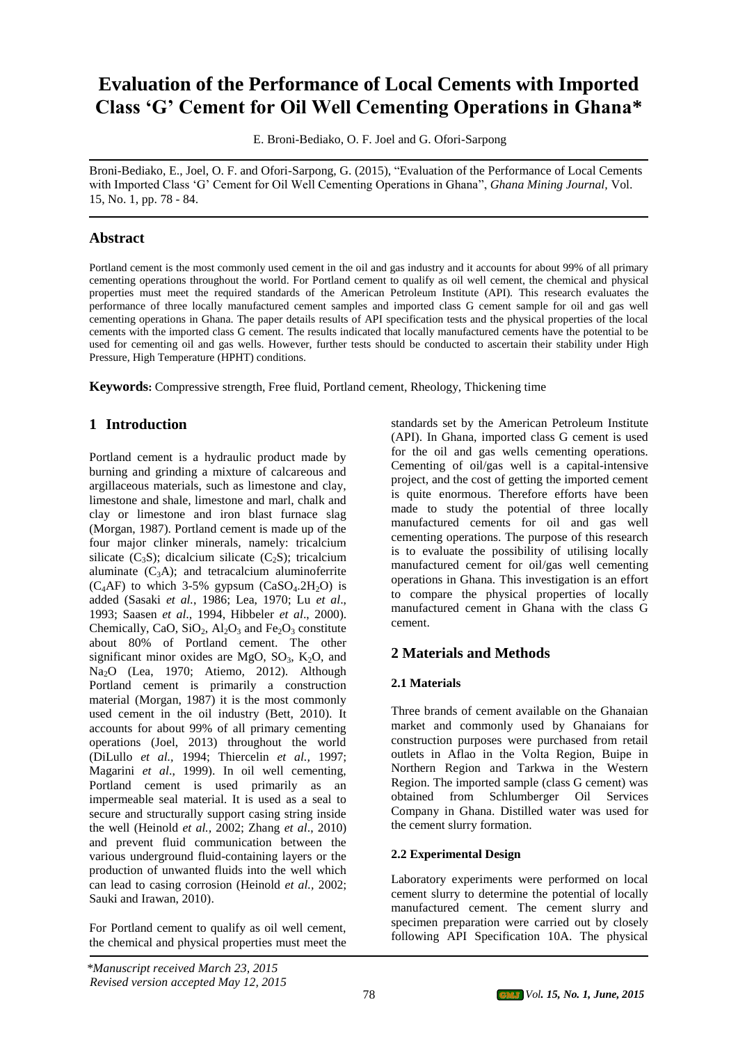# **Evaluation of the Performance of Local Cements with Imported Class 'G' Cement for Oil Well Cementing Operations in Ghana\***

E. Broni-Bediako, O. F. Joel and G. Ofori-Sarpong

Broni-Bediako, E., Joel, O. F. and Ofori-Sarpong, G. (2015), "Evaluation of the Performance of Local Cements with Imported Class 'G' Cement for Oil Well Cementing Operations in Ghana", *Ghana Mining Journal,* Vol. 15, No. 1, pp. 78 - 84.

# **Abstract**

Portland cement is the most commonly used cement in the oil and gas industry and it accounts for about 99% of all primary cementing operations throughout the world. For Portland cement to qualify as oil well cement, the chemical and physical properties must meet the required standards of the American Petroleum Institute (API). This research evaluates the performance of three locally manufactured cement samples and imported class G cement sample for oil and gas well cementing operations in Ghana. The paper details results of API specification tests and the physical properties of the local cements with the imported class G cement. The results indicated that locally manufactured cements have the potential to be used for cementing oil and gas wells. However, further tests should be conducted to ascertain their stability under High Pressure, High Temperature (HPHT) conditions.

**Keywords:** Compressive strength, Free fluid, Portland cement, Rheology, Thickening time

# **1 Introduction**

Portland cement is a hydraulic product made by burning and grinding a mixture of calcareous and argillaceous materials, such as limestone and clay, limestone and shale, limestone and marl, chalk and clay or limestone and iron blast furnace slag (Morgan, 1987). Portland cement is made up of the four major clinker minerals, namely: tricalcium silicate  $(C_3S)$ ; dicalcium silicate  $(C_2S)$ ; tricalcium aluminate  $(C_3A)$ ; and tetracalcium aluminoferrite  $(C_4AF)$  to which 3-5% gypsum  $(CaSO_4.2H_2O)$  is added (Sasaki *et al.*, 1986; Lea, 1970; Lu *et al*., 1993; Saasen *et al*., 1994, Hibbeler *et al*., 2000). Chemically, CaO,  $SiO_2$ ,  $Al_2O_3$  and  $Fe_2O_3$  constitute about 80% of Portland cement. The other significant minor oxides are MgO,  $SO_3$ , K<sub>2</sub>O, and Na2O (Lea, 1970; Atiemo, 2012). Although Portland cement is primarily a construction material (Morgan, 1987) it is the most commonly used cement in the oil industry (Bett, 2010). It accounts for about 99% of all primary cementing operations (Joel, 2013) throughout the world (DiLullo *et al.,* 1994; Thiercelin *et al.,* 1997; Magarini *et al*., 1999). In oil well cementing, Portland cement is used primarily as an impermeable seal material. It is used as a seal to secure and structurally support casing string inside the well (Heinold *et al.,* 2002; Zhang *et al*., 2010) and prevent fluid communication between the various underground fluid-containing layers or the production of unwanted fluids into the well which can lead to casing corrosion (Heinold *et al.,* 2002; Sauki and Irawan, 2010).

For Portland cement to qualify as oil well cement, the chemical and physical properties must meet the

standards set by the American Petroleum Institute (API). In Ghana, imported class G cement is used for the oil and gas wells cementing operations. Cementing of oil/gas well is a capital-intensive project, and the cost of getting the imported cement is quite enormous. Therefore efforts have been made to study the potential of three locally manufactured cements for oil and gas well cementing operations. The purpose of this research is to evaluate the possibility of utilising locally manufactured cement for oil/gas well cementing operations in Ghana. This investigation is an effort to compare the physical properties of locally manufactured cement in Ghana with the class G cement.

# **2 Materials and Methods**

### **2.1 Materials**

Three brands of cement available on the Ghanaian market and commonly used by Ghanaians for construction purposes were purchased from retail outlets in Aflao in the Volta Region, Buipe in Northern Region and Tarkwa in the Western Region. The imported sample (class G cement) was obtained from Schlumberger Oil Services Company in Ghana. Distilled water was used for the cement slurry formation.

### **2.2 Experimental Design**

Laboratory experiments were performed on local cement slurry to determine the potential of locally manufactured cement. The cement slurry and specimen preparation were carried out by closely following API Specification 10A. The physical

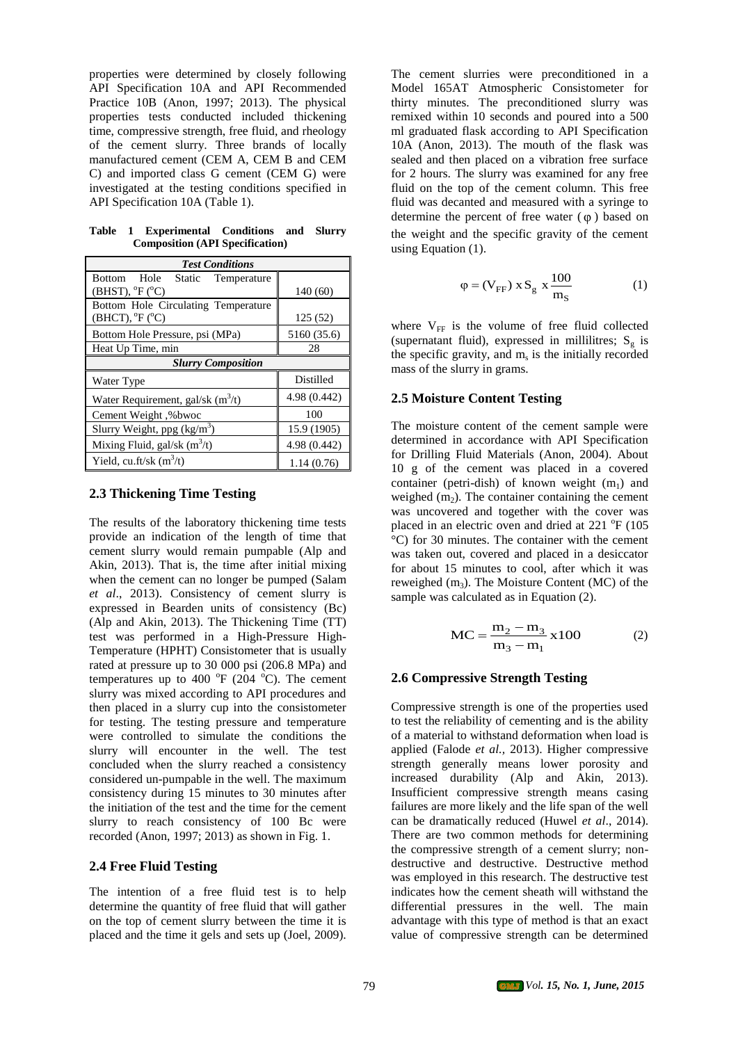properties were determined by closely following API Specification 10A and API Recommended Practice 10B (Anon, 1997; 2013). The physical properties tests conducted included thickening time, compressive strength, free fluid, and rheology of the cement slurry. Three brands of locally manufactured cement (CEM A, CEM B and CEM C) and imported class G cement (CEM G) were investigated at the testing conditions specified in API Specification 10A (Table 1).

**Table 1 Experimental Conditions and Slurry Composition (API Specification)**

| <b>Test Conditions</b>                                                                 |                  |  |  |  |
|----------------------------------------------------------------------------------------|------------------|--|--|--|
| Hole Static Temperature<br><b>Bottom</b><br>$(BHST)$ , ${}^{\circ}F$ ( ${}^{\circ}C$ ) | 140 (60)         |  |  |  |
| Bottom Hole Circulating Temperature<br>$(BHCT)$ , ${}^{\circ}F$ ( ${}^{\circ}C$ )      | 125(52)          |  |  |  |
| Bottom Hole Pressure, psi (MPa)                                                        | 5160 (35.6)      |  |  |  |
| Heat Up Time, min                                                                      | 28               |  |  |  |
| <b>Slurry Composition</b>                                                              |                  |  |  |  |
| Water Type                                                                             | <b>Distilled</b> |  |  |  |
| Water Requirement, gal/sk $(m^3/t)$                                                    | 4.98 (0.442)     |  |  |  |
| Cement Weight, %bwoc                                                                   | 100              |  |  |  |
| Slurry Weight, ppg $(kg/m3)$                                                           | 15.9 (1905)      |  |  |  |
| Mixing Fluid, gal/sk $(m^3/t)$                                                         | 4.98 (0.442)     |  |  |  |
| Yield, cu.ft/sk $(m^3/t)$                                                              | 1.14(0.76)       |  |  |  |

#### **2.3 Thickening Time Testing**

The results of the laboratory thickening time tests provide an indication of the length of time that cement slurry would remain pumpable (Alp and Akin, 2013). That is, the time after initial mixing when the cement can no longer be pumped (Salam *et al*., 2013). Consistency of cement slurry is expressed in Bearden units of consistency (Bc) (Alp and Akin, 2013). The Thickening Time (TT) test was performed in a High-Pressure High-Temperature (HPHT) Consistometer that is usually rated at pressure up to 30 000 psi (206.8 MPa) and temperatures up to 400  $\mathrm{^{\circ}F}$  (204  $\mathrm{^{\circ}C}$ ). The cement slurry was mixed according to API procedures and then placed in a slurry cup into the consistometer for testing. The testing pressure and temperature were controlled to simulate the conditions the slurry will encounter in the well. The test concluded when the slurry reached a consistency considered un-pumpable in the well. The maximum consistency during 15 minutes to 30 minutes after the initiation of the test and the time for the cement slurry to reach consistency of 100 Bc were recorded (Anon, 1997; 2013) as shown in Fig. 1.

#### **2.4 Free Fluid Testing**

The intention of a free fluid test is to help determine the quantity of free fluid that will gather on the top of cement slurry between the time it is placed and the time it gels and sets up (Joel, 2009).

The cement slurries were preconditioned in a Model 165AT Atmospheric Consistometer for thirty minutes. The preconditioned slurry was remixed within 10 seconds and poured into a 500 ml graduated flask according to API Specification 10A (Anon, 2013). The mouth of the flask was sealed and then placed on a vibration free surface for 2 hours. The slurry was examined for any free fluid on the top of the cement column. This free fluid was decanted and measured with a syringe to determine the percent of free water  $(\varphi)$  based on the weight and the specific gravity of the cement using Equation (1).

$$
\varphi = (V_{FF}) \times S_g \times \frac{100}{m_S} \tag{1}
$$

where  $V_{FF}$  is the volume of free fluid collected (supernatant fluid), expressed in millilitres;  $S_g$  is the specific gravity, and  $m_s$  is the initially recorded mass of the slurry in grams.

### **2.5 Moisture Content Testing**

The moisture content of the cement sample were determined in accordance with API Specification for Drilling Fluid Materials (Anon, 2004). About 10 g of the cement was placed in a covered container (petri-dish) of known weight  $(m_1)$  and weighed  $(m<sub>2</sub>)$ . The container containing the cement was uncovered and together with the cover was placed in an electric oven and dried at 221 °F (105 °C) for 30 minutes. The container with the cement was taken out, covered and placed in a desiccator for about 15 minutes to cool, after which it was reweighed  $(m_3)$ . The Moisture Content (MC) of the sample was calculated as in Equation (2).

$$
MC = \frac{m_2 - m_3}{m_3 - m_1} \times 100
$$
 (2)

### **2.6 Compressive Strength Testing**

Compressive strength is one of the properties used to test the reliability of cementing and is the ability of a material to withstand deformation when load is applied (Falode *et al.,* 2013). Higher compressive strength generally means lower porosity and increased durability (Alp and Akin, 2013). Insufficient compressive strength means casing failures are more likely and the life span of the well can be dramatically reduced (Huwel *et al*., 2014). There are two common methods for determining the compressive strength of a cement slurry; nondestructive and destructive. Destructive method was employed in this research. The destructive test indicates how the cement sheath will withstand the differential pressures in the well. The main advantage with this type of method is that an exact value of compressive strength can be determined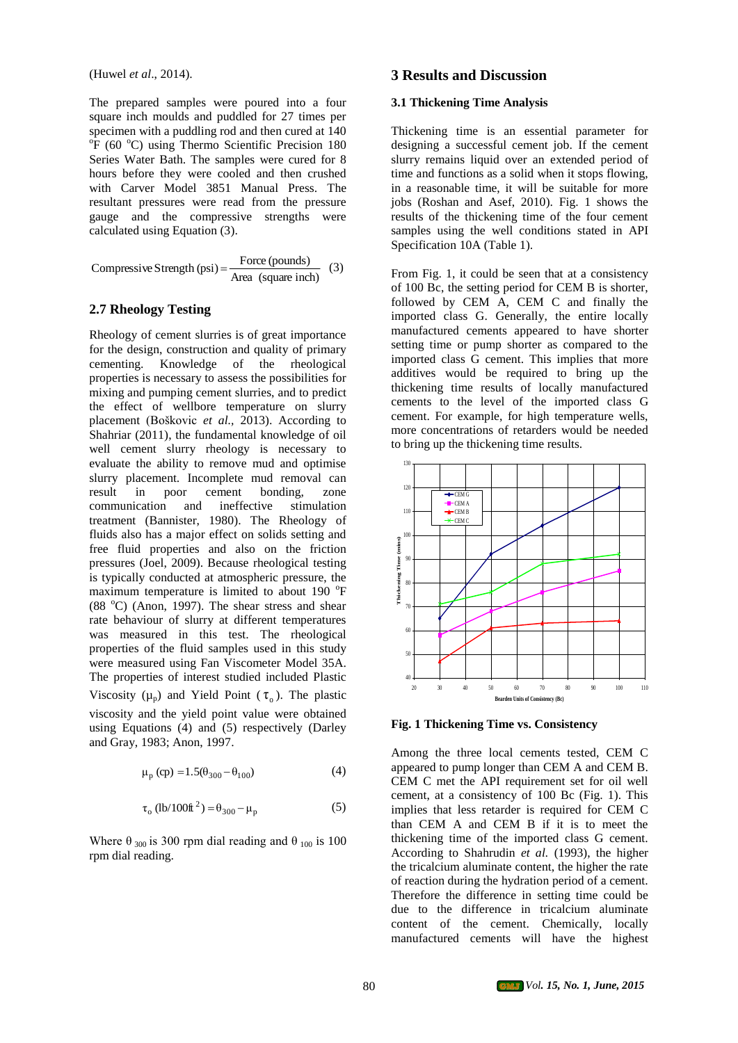(Huwel *et al*., 2014).

The prepared samples were poured into a four square inch moulds and puddled for 27 times per specimen with a puddling rod and then cured at 140 <sup>o</sup>F (60 °C) using Thermo Scientific Precision 180 Series Water Bath. The samples were cured for 8 hours before they were cooled and then crushed with Carver Model 3851 Manual Press. The resultant pressures were read from the pressure gauge and the compressive strengths were calculated using Equation (3).

Compressive Strength (psi) =  $\frac{\text{Force (pounds)}}{\text{Area (square inch)}}$  (3)

#### **2.7 Rheology Testing**

Rheology of cement slurries is of great importance for the design, construction and quality of primary cementing. Knowledge of the rheological properties is necessary to assess the possibilities for mixing and pumping cement slurries, and to predict the effect of wellbore temperature on slurry placement (Boškovic *et al.,* 2013). According to Shahriar (2011), the fundamental knowledge of oil well cement slurry rheology is necessary to evaluate the ability to remove mud and optimise slurry placement. Incomplete mud removal can result in poor cement bonding, zone communication and ineffective stimulation treatment (Bannister, 1980). The Rheology of fluids also has a major effect on solids setting and free fluid properties and also on the friction pressures (Joel, 2009). Because rheological testing is typically conducted at atmospheric pressure, the maximum temperature is limited to about 190 °F  $(88<sup>o</sup>C)$  (Anon, 1997). The shear stress and shear rate behaviour of slurry at different temperatures was measured in this test. The rheological properties of the fluid samples used in this study were measured using Fan Viscometer Model 35A. The properties of interest studied included Plastic Viscosity ( $\mu_p$ ) and Yield Point ( $\tau_o$ ). The plastic viscosity and the yield point value were obtained using Equations (4) and (5) respectively (Darley and Gray, 1983; Anon, 1997.

$$
\mu_{\rm p} \text{ (cp)} = 1.5(\theta_{300} - \theta_{100}) \tag{4}
$$

$$
\tau_o \text{ (lb/100ft}^2) = \theta_{300} - \mu_p \tag{5}
$$

Where  $\theta_{300}$  is 300 rpm dial reading and  $\theta_{100}$  is 100 rpm dial reading.

### **3 Results and Discussion**

#### **3.1 Thickening Time Analysis**

Thickening time is an essential parameter for designing a successful cement job. If the cement slurry remains liquid over an extended period of time and functions as a solid when it stops flowing, in a reasonable time, it will be suitable for more jobs (Roshan and Asef, 2010). Fig. 1 shows the results of the thickening time of the four cement samples using the well conditions stated in API Specification 10A (Table 1).

From Fig. 1, it could be seen that at a consistency of 100 Bc, the setting period for CEM B is shorter, followed by CEM A, CEM C and finally the imported class G. Generally, the entire locally manufactured cements appeared to have shorter setting time or pump shorter as compared to the imported class G cement. This implies that more additives would be required to bring up the thickening time results of locally manufactured cements to the level of the imported class G cement. For example, for high temperature wells, more concentrations of retarders would be needed to bring up the thickening time results.



**Fig. 1 Thickening Time vs. Consistency**

Among the three local cements tested, CEM C appeared to pump longer than CEM A and CEM B. CEM C met the API requirement set for oil well cement, at a consistency of 100 Bc (Fig. 1). This implies that less retarder is required for CEM C than CEM A and CEM B if it is to meet the thickening time of the imported class G cement. According to Shahrudin *et al.* (1993), the higher the tricalcium aluminate content, the higher the rate of reaction during the hydration period of a cement. Therefore the difference in setting time could be due to the difference in tricalcium aluminate content of the cement. Chemically, locally manufactured cements will have the highest

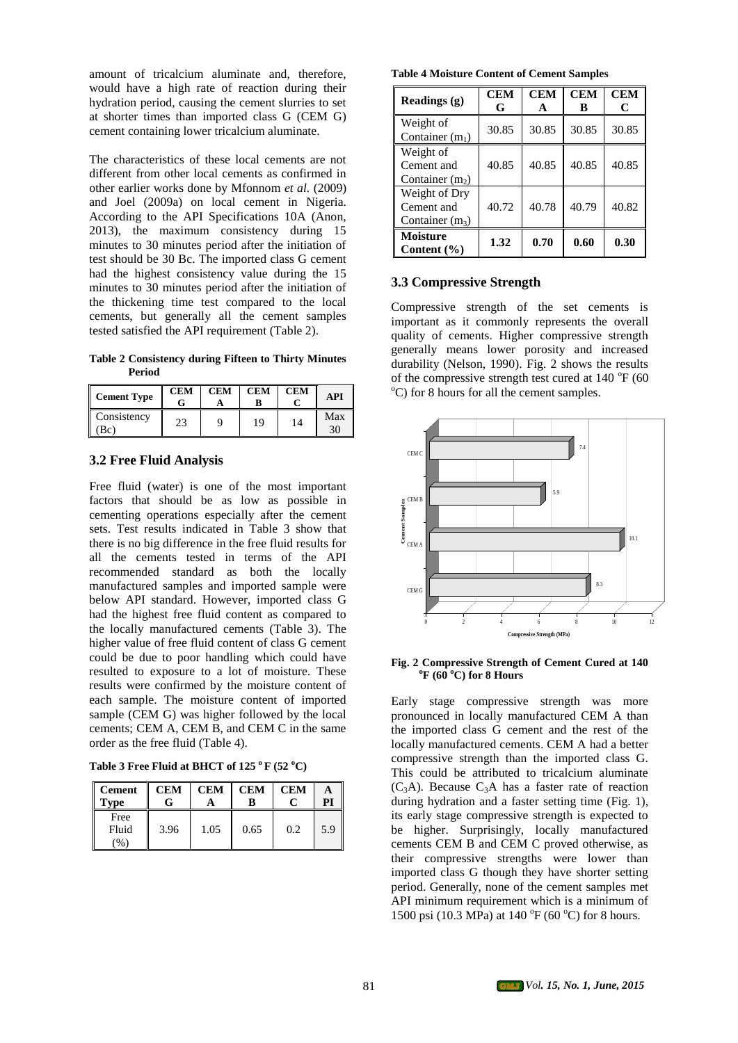amount of tricalcium aluminate and, therefore, would have a high rate of reaction during their hydration period, causing the cement slurries to set at shorter times than imported class G (CEM G) cement containing lower tricalcium aluminate.

The characteristics of these local cements are not different from other local cements as confirmed in other earlier works done by Mfonnom *et al.* (2009) and Joel (2009a) on local cement in Nigeria. According to the API Specifications 10A (Anon, 2013), the maximum consistency during 15 minutes to 30 minutes period after the initiation of test should be 30 Bc. The imported class G cement had the highest consistency value during the 15 minutes to 30 minutes period after the initiation of the thickening time test compared to the local cements, but generally all the cement samples tested satisfied the API requirement (Table 2).

**Table 2 Consistency during Fifteen to Thirty Minutes Period** 

| <b>Cement Type</b> | <b>CEM</b> | <b>CEM</b> | <b>CEM</b> | <b>CEM</b> | API       |
|--------------------|------------|------------|------------|------------|-----------|
| Consistency<br>Bc) | 23         |            | 19         | 14         | Max<br>30 |

### **3.2 Free Fluid Analysis**

Free fluid (water) is one of the most important factors that should be as low as possible in cementing operations especially after the cement sets. Test results indicated in Table 3 show that there is no big difference in the free fluid results for all the cements tested in terms of the API recommended standard as both the locally manufactured samples and imported sample were below API standard. However, imported class G had the highest free fluid content as compared to the locally manufactured cements (Table 3). The higher value of free fluid content of class G cement could be due to poor handling which could have resulted to exposure to a lot of moisture. These results were confirmed by the moisture content of each sample. The moisture content of imported sample (CEM G) was higher followed by the local cements; CEM A, CEM B, and CEM C in the same order as the free fluid (Table 4).

| Table 3 Free Fluid at BHCT of 125 $\rm{^oF}$ (52 $\rm{^oC}$ ) |  |  |  |  |  |
|---------------------------------------------------------------|--|--|--|--|--|
|---------------------------------------------------------------|--|--|--|--|--|

| <b>Cement</b><br>Type          | <b>CEM</b> | <b>CEM</b> | <b>CEM</b><br>в | <b>CEM</b> | PI  |
|--------------------------------|------------|------------|-----------------|------------|-----|
| Free<br>Fluid<br>$\frac{9}{6}$ | 3.96       | 1.05       | 0.65            | 0.2        | 5.9 |

**Table 4 Moisture Content of Cement Samples**

| Readings (g)                                     | <b>CEM</b><br>G | <b>CEM</b><br>A | <b>CEM</b><br>в | <b>CEM</b><br>C |
|--------------------------------------------------|-----------------|-----------------|-----------------|-----------------|
| Weight of<br>Container $(m_1)$                   | 30.85           | 30.85           | 30.85           | 30.85           |
| Weight of<br>Cement and<br>Container $(m_2)$     | 40.85           | 40.85           | 40.85           | 40.85           |
| Weight of Dry<br>Cement and<br>Container $(m_3)$ | 40.72           | 40.78           | 40.79           | 40.82           |
| <b>Moisture</b><br>Content $(\% )$               | 1.32            | 0.70            | 0.60            | 0.30            |

#### **3.3 Compressive Strength**

Compressive strength of the set cements is important as it commonly represents the overall quality of cements. Higher compressive strength generally means lower porosity and increased durability (Nelson, 1990). Fig. 2 shows the results of the compressive strength test cured at  $140^{\circ}$ F (60  $^{\circ}$ C) for 8 hours for all the cement samples.



**Fig. 2 Compressive Strength of Cement Cured at 140 <sup>o</sup>F (60 <sup>o</sup>C) for 8 Hours**

Early stage compressive strength was more pronounced in locally manufactured CEM A than the imported class G cement and the rest of the locally manufactured cements. CEM A had a better compressive strength than the imported class G. This could be attributed to tricalcium aluminate  $(C_3A)$ . Because  $C_3A$  has a faster rate of reaction during hydration and a faster setting time (Fig. 1), its early stage compressive strength is expected to be higher. Surprisingly, locally manufactured cements CEM B and CEM C proved otherwise, as their compressive strengths were lower than imported class G though they have shorter setting period. Generally, none of the cement samples met API minimum requirement which is a minimum of 1500 psi (10.3 MPa) at 140 °F (60 °C) for 8 hours.

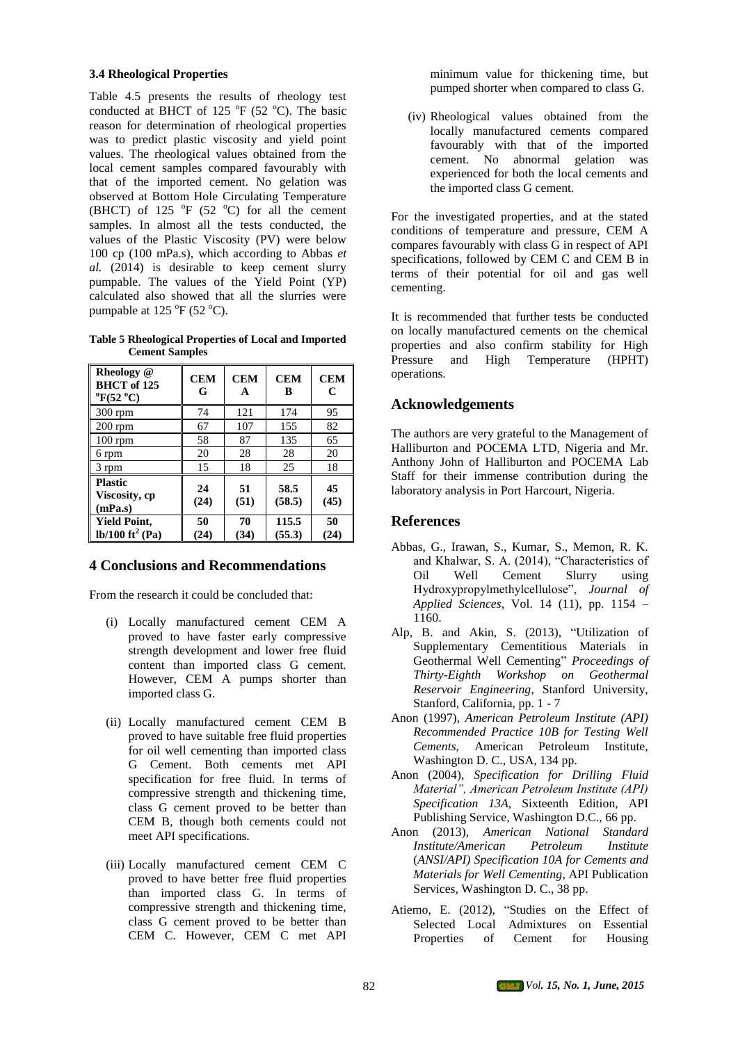#### **3.4 Rheological Properties**

Table 4.5 presents the results of rheology test conducted at BHCT of 125  $\mathrm{^{\circ}F}$  (52  $\mathrm{^{\circ}C}$ ). The basic reason for determination of rheological properties was to predict plastic viscosity and yield point values. The rheological values obtained from the local cement samples compared favourably with that of the imported cement. No gelation was observed at Bottom Hole Circulating Temperature (BHCT) of 125  $\mathrm{^{\circ}F}$  (52  $\mathrm{^{\circ}C}$ ) for all the cement samples. In almost all the tests conducted, the values of the Plastic Viscosity (PV) were below 100 cp (100 mPa.s), which according to Abbas *et al.* (2014) is desirable to keep cement slurry pumpable. The values of the Yield Point (YP) calculated also showed that all the slurries were pumpable at  $125 \text{ °F}$  (52  $\text{ °C}$ ).

**Table 5 Rheological Properties of Local and Imported Cement Samples**

| Rheology @<br><b>BHCT</b> of 125<br>$^{\circ}$ F(52 $^{\circ}$ C) | <b>CEM</b><br>G | <b>CEM</b><br>A | <b>CEM</b><br>B | <b>CEM</b><br>C |
|-------------------------------------------------------------------|-----------------|-----------------|-----------------|-----------------|
| $300$ rpm                                                         | 74              | 121             | 174             | 95              |
| $200$ rpm                                                         | 67              | 107             | 155             | 82              |
| $100$ rpm                                                         | 58              | 87              | 135             | 65              |
| 6 rpm                                                             | 20              | 28              | 28              | 20              |
| 3 rpm                                                             | 15              | 18              | 25              | 18              |
| <b>Plastic</b><br>Viscosity, cp<br>(mPa.s)                        | 24<br>(24)      | 51<br>(51)      | 58.5<br>(58.5)  | 45<br>(45)      |
| <b>Yield Point,</b><br>$lb/100 \text{ ft}^2 \text{ (Pa)}$         | 50<br>(24)      | 70<br>(34)      | 115.5<br>(55.3) | 50<br>(24)      |

# **4 Conclusions and Recommendations**

From the research it could be concluded that:

- (i) Locally manufactured cement CEM A proved to have faster early compressive strength development and lower free fluid content than imported class G cement. However, CEM A pumps shorter than imported class G.
- (ii) Locally manufactured cement CEM B proved to have suitable free fluid properties for oil well cementing than imported class G Cement. Both cements met API specification for free fluid. In terms of compressive strength and thickening time, class G cement proved to be better than CEM B, though both cements could not meet API specifications.
- (iii) Locally manufactured cement CEM C proved to have better free fluid properties than imported class G. In terms of compressive strength and thickening time, class G cement proved to be better than CEM C. However, CEM C met API

minimum value for thickening time, but pumped shorter when compared to class G.

(iv) Rheological values obtained from the locally manufactured cements compared favourably with that of the imported cement. No abnormal gelation was experienced for both the local cements and the imported class G cement.

For the investigated properties, and at the stated conditions of temperature and pressure, CEM A compares favourably with class  $\hat{G}$  in respect of API specifications, followed by CEM C and CEM B in terms of their potential for oil and gas well cementing.

It is recommended that further tests be conducted on locally manufactured cements on the chemical properties and also confirm stability for High Pressure and High Temperature (HPHT) operations.

# **Acknowledgements**

The authors are very grateful to the Management of Halliburton and POCEMA LTD, Nigeria and Mr. Anthony John of Halliburton and POCEMA Lab Staff for their immense contribution during the laboratory analysis in Port Harcourt, Nigeria.

# **References**

- Abbas, G., Irawan, S., Kumar, S., Memon, R. K. and Khalwar, S. A. (2014), "Characteristics of<br>Oil Well Cement Slurry using Oil Well Cement Hydroxypropylmethylcellulose", *Journal of Applied Sciences*, Vol. 14 (11), pp. 1154 – 1160.
- Alp, B. and Akin, S. (2013), "Utilization of Supplementary Cementitious Materials in Geothermal Well Cementing" *Proceedings of Thirty-Eighth Workshop on Geothermal Reservoir Engineering*, Stanford University, Stanford, California, pp. 1 - 7
- Anon (1997), *American Petroleum Institute (API) Recommended Practice 10B for Testing Well Cements*, American Petroleum Institute, Washington D. C., USA, 134 pp.
- Anon (2004), *Specification for Drilling Fluid Material", American Petroleum Institute (API) Specification 13A,* Sixteenth Edition, API Publishing Service, Washington D.C., 66 pp.
- Anon (2013), *American National Standard Institute/American Petroleum Institute* (*ANSI/API) Specification 10A for Cements and Materials for Well Cementing*, API Publication Services, Washington D. C., 38 pp.
- Atiemo, E. (2012), "Studies on the Effect of Selected Local Admixtures on Essential Properties of Cement for Housing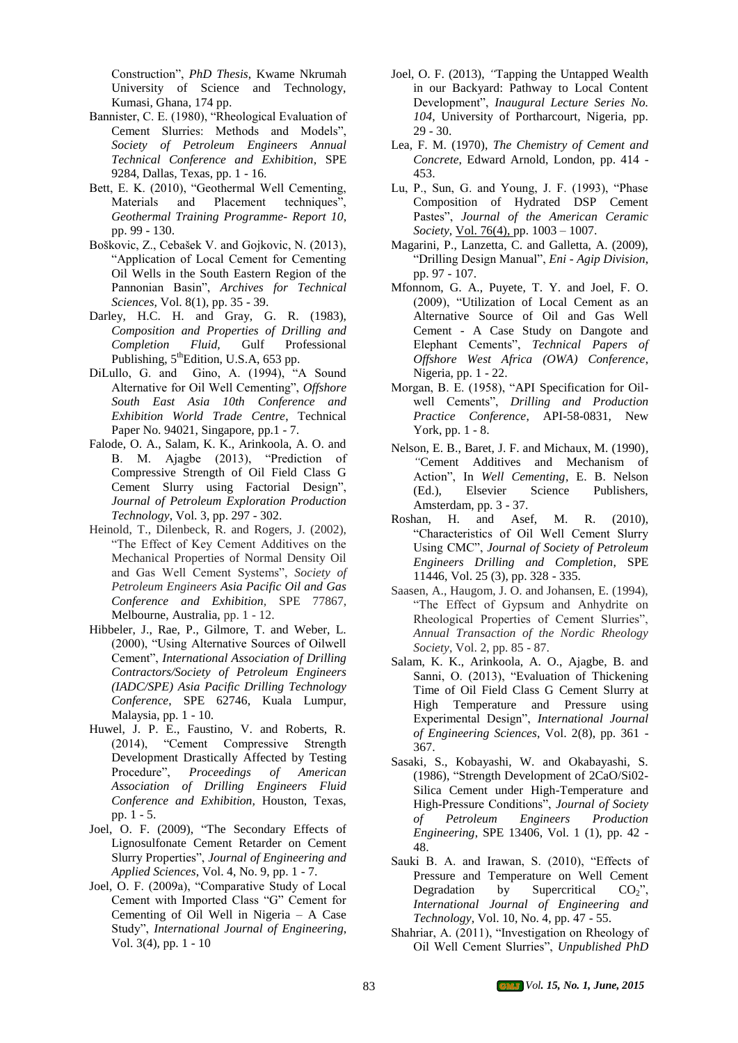Construction", *PhD Thesis*, Kwame Nkrumah University of Science and Technology, Kumasi, Ghana, 174 pp.

- Bannister, C. E. (1980), "Rheological Evaluation of Cement Slurries: Methods and Models", *Society of Petroleum Engineers Annual Technical Conference and Exhibition*, SPE 9284, Dallas, Texas, pp. 1 - 16.
- Bett, E. K. (2010), "Geothermal Well Cementing, Materials and Placement techniques", *Geothermal Training Programme- Report 10*, pp. 99 - 130.
- Boškovic, Z., Cebašek V. and Gojkovic, N. (2013), "Application of Local Cement for Cementing Oil Wells in the South Eastern Region of the Pannonian Basin", *Archives for Technical Sciences,* Vol. 8(1), pp. 35 - 39.
- Darley, H.C. H. and Gray, G. R. (1983), *Composition and Properties of Drilling and Completion Fluid,* Gulf Professional Publishing, 5<sup>th</sup>Edition, U.S.A, 653 pp.
- DiLullo, G. and Gino, A. (1994), "A Sound Alternative for Oil Well Cementing", *Offshore South East Asia 10th Conference and Exhibition World Trade Centre*, Technical Paper No. 94021, Singapore, pp.1 - 7.
- Falode, O. A., Salam, K. K., Arinkoola, A. O. and B. M. Ajagbe (2013), "Prediction of Compressive Strength of Oil Field Class G Cement Slurry using Factorial Design", *Journal of Petroleum Exploration Production Technology*, Vol. 3, pp. 297 - 302.
- Heinold, T., Dilenbeck, R. and Rogers, J. (2002), "The Effect of Key Cement Additives on the Mechanical Properties of Normal Density Oil and Gas Well Cement Systems", *Society of Petroleum Engineers Asia Pacific Oil and Gas Conference and Exhibition,* SPE 77867, Melbourne, Australia, pp. 1 - 12.
- Hibbeler, J., Rae, P., Gilmore, T. and Weber, L. (2000), "Using Alternative Sources of Oilwell Cement", *International Association of Drilling Contractors/Society of Petroleum Engineers (IADC/SPE) Asia Pacific Drilling Technology Conference*, SPE 62746, Kuala Lumpur, Malaysia, pp. 1 - 10.
- Huwel, J. P. E., Faustino, V. and Roberts, R. (2014), "Cement Compressive Strength Development Drastically Affected by Testing Procedure", *Proceedings of American Association of Drilling Engineers Fluid Conference and Exhibition,* Houston, Texas, pp. 1 - 5.
- Joel, O. F. (2009), "The Secondary Effects of Lignosulfonate Cement Retarder on Cement Slurry Properties", *Journal of Engineering and Applied Sciences*, Vol. 4, No. 9, pp. 1 - 7.
- Joel, O. F. (2009a), "Comparative Study of Local Cement with Imported Class "G" Cement for Cementing of Oil Well in Nigeria – A Case Study", *International Journal of Engineering*, Vol. 3(4), pp. 1 - 10
- Joel, O. F. (2013), *"*Tapping the Untapped Wealth in our Backyard: Pathway to Local Content Development", *Inaugural Lecture Series No. 104*, University of Portharcourt, Nigeria, pp. 29 - 30.
- Lea, F. M. (1970), *The Chemistry of Cement and Concrete*, Edward Arnold, London, pp. 414 - 453.
- Lu, P., Sun, G. and Young, J. F. (1993), "Phase Composition of Hydrated DSP Cement Pastes", *Journal of the American Ceramic Society,* [Vol. 76\(4\), p](http://onlinelibrary.wiley.com/doi/10.1111/jace.1993.76.issue-4/issuetoc)p. 1003 – 1007.
- Magarini, P., Lanzetta, C. and Galletta, A. (2009), "Drilling Design Manual", *Eni - Agip Division*, pp. 97 - 107.
- Mfonnom, G. A., Puyete, T. Y. and Joel, F. O. (2009), "Utilization of Local Cement as an Alternative Source of Oil and Gas Well Cement - A Case Study on Dangote and Elephant Cements", *Technical Papers of Offshore West Africa (OWA) Conference*, Nigeria, pp. 1 - 22.
- Morgan, B. E. (1958), "API Specification for Oilwell Cements", *Drilling and Production Practice Conference*, API-58-0831, New York, pp. 1 - 8.
- Nelson, E. B., Baret, J. F. and Michaux, M. (1990)*, "*Cement Additives and Mechanism of Action", In *Well Cementing*, E. B. Nelson (Ed.), Elsevier Science Publishers, Amsterdam, pp. 3 - 37.
- Roshan, H. and Asef, M. R. (2010), "Characteristics of Oil Well Cement Slurry Using CMC", *Journal of Society of Petroleum Engineers Drilling and Completion*, SPE 11446, Vol. 25 (3), pp. 328 - 335.
- Saasen, A., Haugom, J. O. and Johansen, E. (1994), "The Effect of Gypsum and Anhydrite on Rheological Properties of Cement Slurries", *Annual Transaction of the Nordic Rheology Society*, Vol. 2, pp. 85 - 87.
- Salam, K. K., Arinkoola, A. O., Ajagbe, B. and Sanni, O. (2013), "Evaluation of Thickening Time of Oil Field Class G Cement Slurry at High Temperature and Pressure using Experimental Design", *International Journal of Engineering Sciences*, Vol. 2(8), pp. 361 - 367.
- Sasaki, S., Kobayashi, W. and Okabayashi, S. (1986), "Strength Development of 2CaO/Si02- Silica Cement under High-Temperature and High-Pressure Conditions", *Journal of Society of Petroleum Engineers Production Engineering*, SPE 13406, Vol. 1 (1), pp. 42 - 48.
- Sauki B. A. and Irawan, S. (2010), "Effects of Pressure and Temperature on Well Cement Degradation by Supercritical  $CO_2$ ". *International Journal of Engineering and Technology*, Vol. 10, No. 4, pp. 47 - 55.
- Shahriar, A. (2011), "Investigation on Rheology of Oil Well Cement Slurries", *Unpublished PhD*